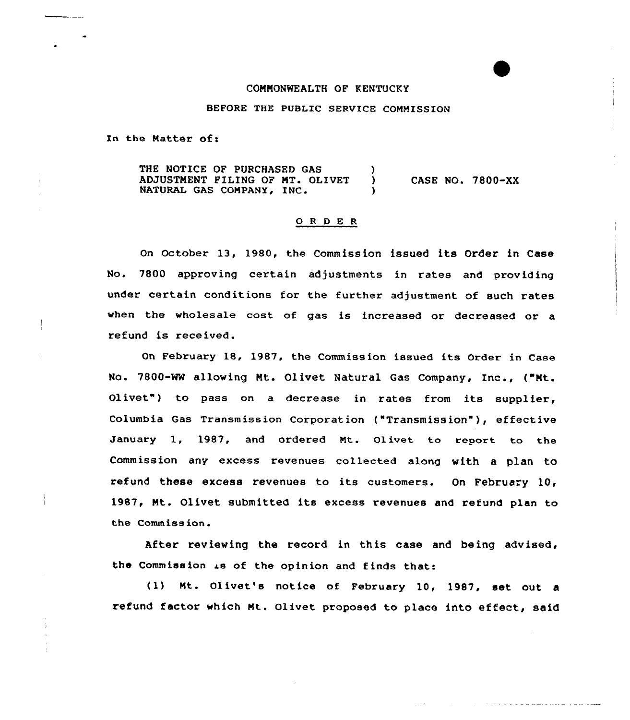## COMMONWEALTH OF KENTUCKY

BEFORE THE PUBLIC SERVICE COMMISSION

In the Matter of:

THE NOTICE OF PURCHASED GAS (3) ADJUSTMENT FILING OF MT. OLIVET NATURAL GAS COMPANY, INC. CASE NO. 7800-XX

## 0 <sup>R</sup> <sup>D</sup> E <sup>R</sup>

On October 13, 1980, the Commission issued its Order in Case No. 7800 approving certain adjustments in rates and providing under certain conditions for the further adjustment of such rates when the wholesale cost of gas is increased or decreased or a refund is received.

On February 18, 1987, the Commiss ion issued its Order in Case No. 7800-MW allowing Mt. Ol ivet Natural Gas Company, Inc., ( "Mt. Olivet") to pass on a decrease in rates from its supplier, Columbia Gas Transmission Corporation ("Transmission" ), effective January 1, 1987, and ordered Mt. Olivet to report to the Commission any excess revenues collected along with a plan to refund these excess revenues to its customers. On February 10, 1987, Mt. Olivet submitted its excess revenues and refund plan to the Commission.

After reviewing the record in this case and being advised, the Commission is of the opinion and finds that:

(1) Mt. Olivet's notice of February 10, 1987, set out a refund factor which Mt. Olivet proposed to place into effect, said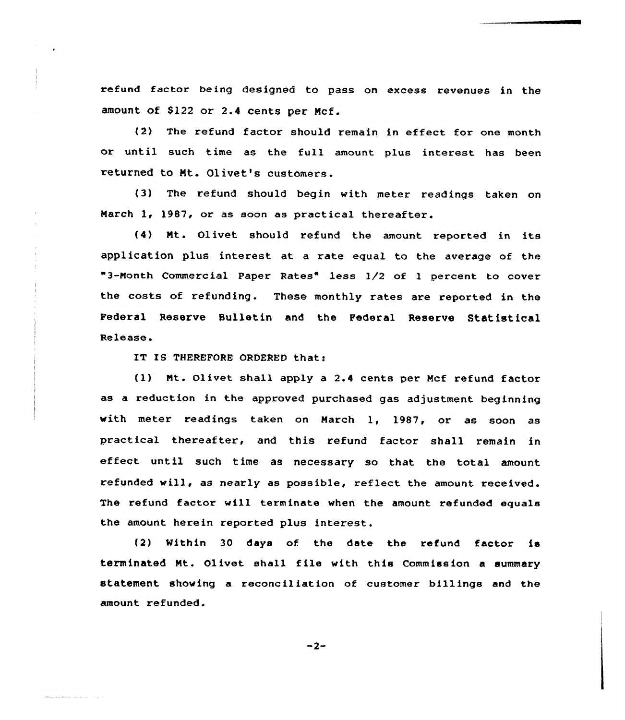refund factor heing designed to pass on excess revenues in the amount of \$122 or 2.4 cents per Mcf.

(2) The refund factor should remain in effect for one month or until such time as the full amount plus interest has been returned to Mt. Olivet's customers.

(3) The refund should begin with meter readings taken on March 1, 1987, or as soon as practical thereafter.

(4) Mt. Olivet should refund the amount reported in its application plus interest at a rate equal to the average of the "3-Nonth Commercial Paper Rates" less 1/2 of <sup>1</sup> percent to cover the costs of refunding. These monthly rates are reported in the Federal Reserve Bulletin and the Federal Reserve Statistical Release.

IT IS THEREFORE ORDERED that:

(1) Nt. Olivet shall apply a 2.4 cents per Mcf refund factor as a reduction in the approved purchased gas adjustment beginning with meter readings taken on March 1, 1987, or as soon as practical thereafter, and this refund factor shall remain in effect until such time as necessary so that the total amount refunded will, as nearly as possible, reflect the amount received. The refund factor will terminate when the amount refunded equals the amount herein reported plus interest.

(2) Within 30 days of the date the refund factor is terminated Nt. Olivet shall file with this Commission <sup>a</sup> summary statement showing a reconciliation of customer billings and the amount refunded.

 $-2-$